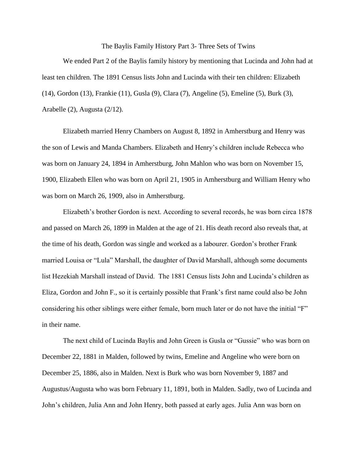The Baylis Family History Part 3- Three Sets of Twins

We ended Part 2 of the Baylis family history by mentioning that Lucinda and John had at least ten children. The 1891 Census lists John and Lucinda with their ten children: Elizabeth (14), Gordon (13), Frankie (11), Gusla (9), Clara (7), Angeline (5), Emeline (5), Burk (3), Arabelle (2), Augusta (2/12).

Elizabeth married Henry Chambers on August 8, 1892 in Amherstburg and Henry was the son of Lewis and Manda Chambers. Elizabeth and Henry's children include Rebecca who was born on January 24, 1894 in Amherstburg, John Mahlon who was born on November 15, 1900, Elizabeth Ellen who was born on April 21, 1905 in Amherstburg and William Henry who was born on March 26, 1909, also in Amherstburg.

Elizabeth's brother Gordon is next. According to several records, he was born circa 1878 and passed on March 26, 1899 in Malden at the age of 21. His death record also reveals that, at the time of his death, Gordon was single and worked as a labourer. Gordon's brother Frank married Louisa or "Lula" Marshall, the daughter of David Marshall, although some documents list Hezekiah Marshall instead of David. The 1881 Census lists John and Lucinda's children as Eliza, Gordon and John F., so it is certainly possible that Frank's first name could also be John considering his other siblings were either female, born much later or do not have the initial "F" in their name.

The next child of Lucinda Baylis and John Green is Gusla or "Gussie" who was born on December 22, 1881 in Malden, followed by twins, Emeline and Angeline who were born on December 25, 1886, also in Malden. Next is Burk who was born November 9, 1887 and Augustus/Augusta who was born February 11, 1891, both in Malden. Sadly, two of Lucinda and John's children, Julia Ann and John Henry, both passed at early ages. Julia Ann was born on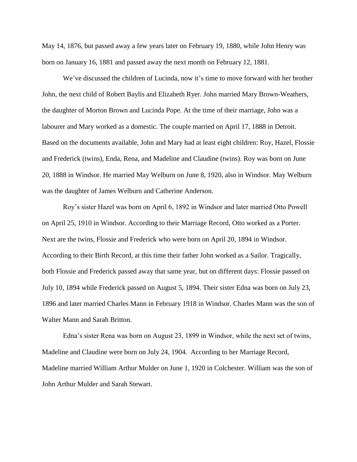May 14, 1876, but passed away a few years later on February 19, 1880, while John Henry was born on January 16, 1881 and passed away the next month on February 12, 1881.

We've discussed the children of Lucinda, now it's time to move forward with her brother John, the next child of Robert Baylis and Elizabeth Ryer. John married Mary Brown-Weathers, the daughter of Morton Brown and Lucinda Pope. At the time of their marriage, John was a labourer and Mary worked as a domestic. The couple married on April 17, 1888 in Detroit. Based on the documents available, John and Mary had at least eight children: Roy, Hazel, Flossie and Frederick (twins), Enda, Rena, and Madeline and Claudine (twins). Roy was born on June 20, 1888 in Windsor. He married May Welburn on June 8, 1920, also in Windsor. May Welburn was the daughter of James Welburn and Catherine Anderson.

Roy's sister Hazel was born on April 6, 1892 in Windsor and later married Otto Powell on April 25, 1910 in Windsor. According to their Marriage Record, Otto worked as a Porter. Next are the twins, Flossie and Frederick who were born on April 20, 1894 in Windsor. According to their Birth Record, at this time their father John worked as a Sailor. Tragically, both Flossie and Frederick passed away that same year, but on different days: Flossie passed on July 10, 1894 while Frederick passed on August 5, 1894. Their sister Edna was born on July 23, 1896 and later married Charles Mann in February 1918 in Windsor. Charles Mann was the son of Walter Mann and Sarah Britton.

Edna's sister Rena was born on August 23, 1899 in Windsor, while the next set of twins, Madeline and Claudine were born on July 24, 1904. According to her Marriage Record, Madeline married William Arthur Mulder on June 1, 1920 in Colchester. William was the son of John Arthur Mulder and Sarah Stewart.